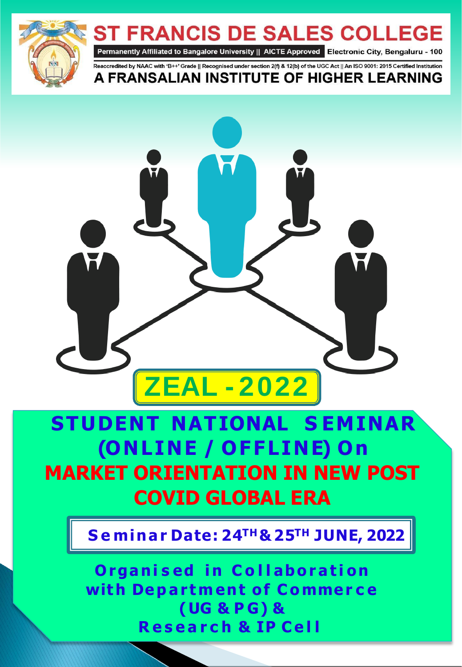



# **STUDENT NATIONAL S EMINAR (O N L I N E / O F FL I N E) O n MARKET ORIENTATION IN NEW POST COVID GLOBAL ERA**

**Seminar Date: 10th June, 2021 S e minar Date: 2 4 T H& 2 5 T H J U N E , 2022**

**Organised in Collaboration with De p a r tm ent o f Co mme r c e (UG & P G) & R e s e a r c h & IP C e l l**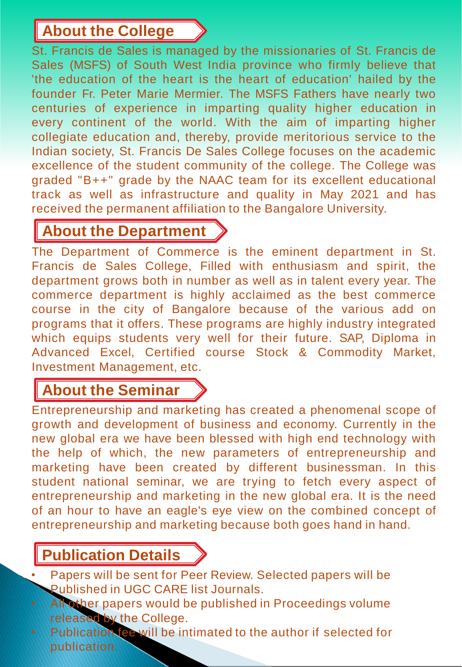### **About the College**

St. Francis de Sales is managed by the missionaries of St. Francis de Sales (MSFS) of South West India province who firmly believe that 'the education of the heart is the heart of education' hailed by the founder Fr. Peter Marie Mermier. The MSFS Fathers have nearly two centuries of experience in imparting quality higher education in every continent of the world. With the aim of imparting higher collegiate education and, thereby, provide meritorious service to the Indian society, St. Francis De Sales College focuses on the academic excellence of the student community of the college. The College was graded "B++" grade by the NAAC team for its excellent educational track as well as infrastructure and quality in May 2021 and has received the permanent affiliation to the Bangalore University.

## **About the Department**

The Department of Commerce is the eminent department in St. Francis de Sales College, Filled with enthusiasm and spirit, the department grows both in number as well as in talent every year. The commerce department is highly acclaimed as the best commerce course in the city of Bangalore because of the various add on programs that it offers. These programs are highly industry integrated which equips students very well for their future. SAP, Diploma in Advanced Excel, Certified course Stock & Commodity Market, Investment Management, etc.

## **About the Seminar**

Entrepreneurship and marketing has created a phenomenal scope of growth and development of business and economy. Currently in the new global era we have been blessed with high end technology with the help of which, the new parameters of entrepreneurship and marketing have been created by different businessman. In this student national seminar, we are trying to fetch every aspect of entrepreneurship and marketing in the new global era. It is the need of an hour to have an eagle's eye view on the combined concept of entrepreneurship and marketing because both goes hand in hand.

## **Publication Details**

- Papers will be sent for Peer Review. Selected papers will be Published in UGC CARE list Journals.
- All other papers would be published in Proceedings volume released by the College.
- Publication fee will be intimated to the author if selected for publication.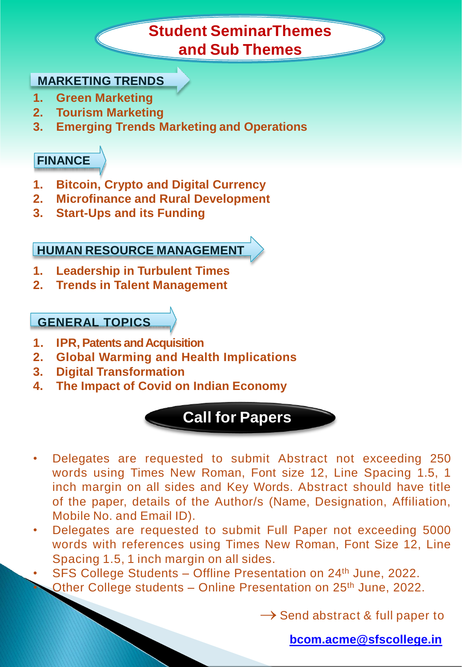### **Student SeminarThemes and Sub Themes**

#### **MARKETING TRENDS**

- **1. Green Marketing**
- **2. Tourism Marketing**
- **3. Emerging Trends Marketing and Operations**

### **FINANCE**

- **1. Bitcoin, Crypto and Digital Currency**
- **2. Microfinance and Rural Development**
- **3. Start-Ups and its Funding**

### **HUMAN RESOURCE MANAGEMENT**

- **1. Leadership in Turbulent Times**
- **2. Trends in Talent Management**

#### **GENERAL TOPICS**

- **1. IPR, Patents and Acquisition**
- **2. Global Warming and Health Implications**
- **3. Digital Transformation**
- **4. The Impact of Covid on Indian Economy**



- Delegates are requested to submit Abstract not exceeding 250 words using Times New Roman, Font size 12, Line Spacing 1.5, 1 inch margin on all sides and Key Words. Abstract should have title of the paper, details of the Author/s (Name, Designation, Affiliation, Mobile No. and Email ID).
- Delegates are requested to submit Full Paper not exceeding 5000 words with references using Times New Roman, Font Size 12, Line Spacing 1.5, 1 inch margin on all sides.

• SFS College Students – Offline Presentation on 24th June, 2022. Other College students – Online Presentation on 25<sup>th</sup> June, 2022.

 $\rightarrow$  Send abstract & full paper to

**[bcom.acme@sfscollege.in](mailto:bcom.acme@sfscollege.in)**